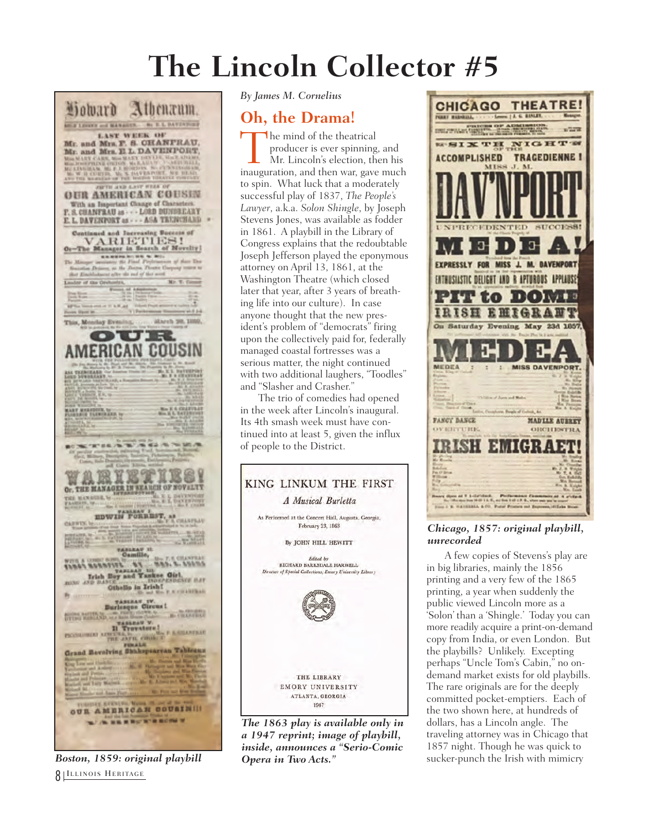## **The Lincoln Collector #5**



*Boston, 1859: original playbill* 8 ILLINOIS HERITAGE

*By James M. Cornelius*

## **Oh, the Drama!**

**The mind of the theatrical**<br>producer is ever spinning, and<br>Mr. Lincoln's election, then his<br>inauguration, and then war, gave much producer is ever spinning, and Mr. Lincoln's election, then his to spin. What luck that a moderately successful play of 1837, *The People's Lawyer*, a.k.a. *Solon Shingle*, by Joseph Stevens Jones, was available as fodder in 1861. A playbill in the Library of Congress explains that the redoubtable Joseph Jefferson played the eponymous attorney on April 13, 1861, at the Washington Theatre (which closed later that year, after 3 years of breathing life into our culture). In case anyone thought that the new president's problem of "democrats" firing upon the collectively paid for, federally managed coastal fortresses was a serious matter, the night continued with two additional laughers, "Toodles" and "Slasher and Crasher."

The trio of comedies had opened in the week after Lincoln's inaugural. Its 4th smash week must have continued into at least 5, given the influx of people to the District.



*The 1863 play is available only in a 1947 reprint; image of playbill, inside, announces a "Serio-Comic Opera in Two Acts."*



## *Chicago, 1857: original playbill, unrecorded*

A few copies of Stevens's play are in big libraries, mainly the 1856 printing and a very few of the 1865 printing, a year when suddenly the public viewed Lincoln more as a 'Solon' than a 'Shingle.' Today you can more readily acquire a print-on-demand copy from India, or even London. But the playbills? Unlikely. Excepting perhaps "Uncle Tom's Cabin," no ondemand market exists for old playbills. The rare originals are for the deeply committed pocket-emptiers. Each of the two shown here, at hundreds of dollars, has a Lincoln angle. The traveling attorney was in Chicago that 1857 night. Though he was quick to sucker-punch the Irish with mimicry